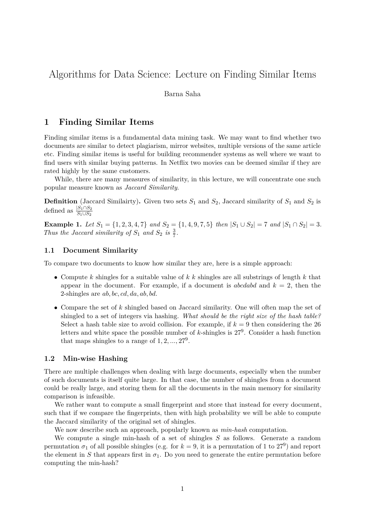# Algorithms for Data Science: Lecture on Finding Similar Items

#### Barna Saha

# **1 Finding Similar Items**

Finding similar items is a fundamental data mining task. We may want to find whether two documents are similar to detect plagiarism, mirror websites, multiple versions of the same article etc. Finding similar items is useful for building recommender systems as well where we want to find users with similar buying patterns. In Netflix two movies can be deemed similar if they are rated highly by the same customers.

While, there are many measures of similarity, in this lecture, we will concentrate one such popular measure known as *Jaccard Similarity*.

**Definition** (Jaccard Similairty). Given two sets  $S_1$  and  $S_2$ , Jaccard similarity of  $S_1$  and  $S_2$  is defined as  $\frac{|S_1 \cap S_2|}{S_1 \cup S_2}$ 

**Example 1.** Let  $S_1 = \{1, 2, 3, 4, 7\}$  and  $S_2 = \{1, 4, 9, 7, 5\}$  then  $|S_1 \cup S_2| = 7$  and  $|S_1 \cap S_2| = 3$ . *Thus the Jaccard similarity of*  $S_1$  *and*  $S_2$  *is*  $\frac{3}{7}$ *.* 

#### **1.1 Document Similarity**

To compare two documents to know how similar they are, here is a simple approach:

- Compute *k* shingles for a suitable value of *k k* shingles are all substrings of length *k* that appear in the document. For example, if a document is *abcdabd* and  $k = 2$ , then the 2-shingles are *ab, bc, cd, da, ab, bd*.
- Compare the set of *k* shingled based on Jaccard similarity. One will often map the set of shingled to a set of integers via hashing. *What should be the right size of the hash table?* Select a hash table size to avoid collision. For example, if  $k = 9$  then considering the 26 letters and white space the possible number of *k*-shingles is 27<sup>9</sup> . Consider a hash function that maps shingles to a range of  $1, 2, \ldots, 27^9$ .

## **1.2 Min-wise Hashing**

There are multiple challenges when dealing with large documents, especially when the number of such documents is itself quite large. In that case, the number of shingles from a document could be really large, and storing them for all the documents in the main memory for similarity comparison is infeasible.

We rather want to compute a small fingerprint and store that instead for every document, such that if we compare the fingerprints, then with high probability we will be able to compute the Jaccard similarity of the original set of shingles.

We now describe such an approach, popularly known as *min-hash* computation.

We compute a single min-hash of a set of shingles *S* as follows. Generate a random permutation  $\sigma_1$  of all possible shingles (e.g. for  $k=9$ , it is a permutation of 1 to 27<sup>9</sup>) and report the element in *S* that appears first in  $\sigma_1$ . Do you need to generate the entire permutation before computing the min-hash?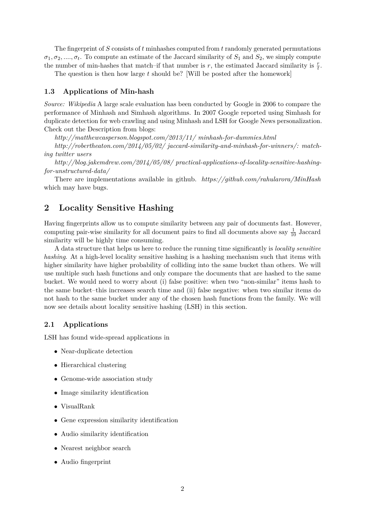The fingerprint of *S* consists of *t* minhashes computed from *t* randomly generated permutations  $\sigma_1, \sigma_2, \ldots, \sigma_t$ . To compute an estimate of the Jaccard similarity of  $S_1$  and  $S_2$ , we simply compute the number of min-hashes that match–if that number is *r*, the estimated Jaccard similarity is  $\frac{r}{t}$ .

The question is then how large *t* should be? [Will be posted after the homework]

#### **1.3 Applications of Min-hash**

*Source: Wikipedia* A large scale evaluation has been conducted by Google in 2006 to compare the performance of Minhash and Simhash algorithms. In 2007 Google reported using Simhash for duplicate detection for web crawling and using Minhash and LSH for Google News personalization. Check out the Description from blogs:

*http://matthewcasperson.blogspot.com/2013/11/ minhash-for-dummies.html*

*http://robertheaton.com/2014/05/02/ jaccard-similarity-and-minhash-for-winners/: matching twitter users*

*http://blog.jakemdrew.com/2014/05/08/ practical-applications-of-locality-sensitive-hashingfor-unstructured-data/*

There are implementations available in github. *https://github.com/rahularora/MinHash* which may have bugs.

# **2 Locality Sensitive Hashing**

Having fingerprints allow us to compute similarity between any pair of documents fast. However, computing pair-wise similarity for all document pairs to find all documents above say  $\frac{1}{10}$  Jaccard similarity will be highly time consuming.

A data structure that helps us here to reduce the running time significantly is *locality sensitive hashing*. At a high-level locality sensitive hashing is a hashing mechanism such that items with higher similarity have higher probability of colliding into the same bucket than others. We will use multiple such hash functions and only compare the documents that are hashed to the same bucket. We would need to worry about (i) false positive: when two "non-similar" items hash to the same bucket–this increases search time and (ii) false negative: when two similar items do not hash to the same bucket under any of the chosen hash functions from the family. We will now see details about locality sensitive hashing (LSH) in this section.

### **2.1 Applications**

LSH has found wide-spread applications in

- Near-duplicate detection
- Hierarchical clustering
- Genome-wide association study
- Image similarity identification
- VisualRank
- Gene expression similarity identification
- Audio similarity identification
- Nearest neighbor search
- Audio fingerprint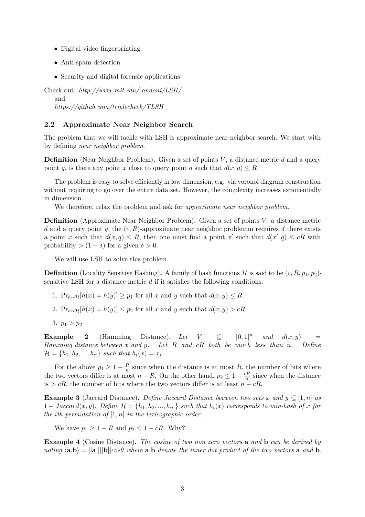- Digital video fingerprinting
- Anti-spam detection
- Security and digital forensic applications

Check out: *http://www.mit.edu/ andoni/LSH/* and *https://github.com/triplecheck/TLSH*

### **2.2 Approximate Near Neighbor Search**

The problem that we will tackle with LSH is approximate near neighbor search. We start with by defining *near neighbor problem*.

**Definition** (Near Neighbor Problem)**.** Given a set of points *V* , a distance metric *d* and a query point *q*, is there any point *x* close to query point *q* such that  $d(x, q) \leq R$ 

The problem is easy to solve efficiently in low dimension, e.g. via voronoi diagram construction without requiring to go over the entire data set. However, the complexity increases exponentially in dimension.

We therefore, relax the problem and ask for *approximate near neighbor problem*.

**Definition** (Approximate Near Neighbor Problem)**.** Given a set of points *V* , a distance metric *d* and a query point *q*, the (*c, R*)-approximate near neighbor problemm requires if there exists a point *x* such that  $d(x,q) \leq R$ , then one must find a point *x*' such that  $d(x',q) \leq cR$  with probability  $> (1 - \delta)$  for a given  $\delta > 0$ .

We will use LSH to solve this problem.

**Definition** (Locality Sensitive Hashing). A family of hash functions  $\mathcal{H}$  is said to be  $(c, R, p_1, p_2)$ sensitive LSH for a distance metric *d* if it satisfies the following conditions.

- 1. Pr<sub>*h*∼H</sub>[*h*(*x*) = *h*(*y*)] ≥ *p*<sub>1</sub> for all *x* and *y* such that  $d(x, y) \le R$ .
- 2.  $Pr_{h \sim H}[h(x) = h(y)] \leq p_2$  for all *x* and *y* such that  $d(x, y) > cR$ .
- 3.  $p_1 > p_2$

**Example 2** (Hamming Distance). Let  $V \subseteq [0,1]^n$  and  $d(x,y)$ *Hamming distance between x and y. Let R and cR both be much less than n. Define*  $\mathcal{H} = \{h_1, h_2, ..., h_n\}$  *such that*  $h_i(x) = x_i$ 

For the above  $p_1 \geq 1 - \frac{R}{n}$  $\frac{R}{n}$  since when the distance is at most *R*, the number of bits where the two vectors differ is at most  $n - R$ . On the other hand,  $p_2 \leq 1 - \frac{cR}{n}$  $\frac{n}{n}$  since when the distance is  $> cR$ , the number of bits where the two vectors differ is at least *n* −  $cR$ .

**Example 3** (Jaccard Distance). *Define Jaccard Distance between two sets x* and  $y \subseteq [1, n]$  *as*  $1 - \text{Jaccard}(x, y)$ . Define  $\mathcal{H} = \{h_1, h_2, ..., h_n\}$  *such that*  $h_i(x)$  *corresponds to min-hash of x for the ith permutation of* [1*, n*] *in the lexicographic order.*

We have  $p_1 > 1 - R$  and  $p_2 < 1 - cR$ . Why?

**Example 4** (Cosine Distance)**.** *The cosine of two non zero vectors* **a** *and* **b** *can be derived by noting*  $\langle$ **a**.**b**) =  $||$ **a** $||||$ **b** $||cos\theta$  *where* **a**.**b** *denote the inner dot product of the two vectors* **a** *and* **b**.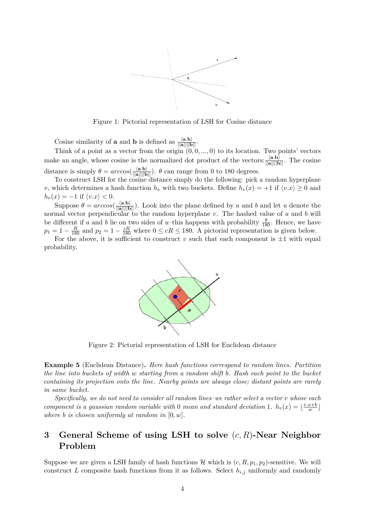

Figure 1: Pictorial representation of LSH for Cosine distance

Cosine similarity of **a** and **b** is defined as  $\frac{\langle \mathbf{a}, \mathbf{b} \rangle}{\|\mathbf{a}\| \|\mathbf{b}\|}$ .

Think of a point as a vector from the origin  $(0, 0, \ldots, 0)$  to its location. Two points' vectors make an angle, whose cosine is the normalized dot product of the vectors:  $\frac{\langle \mathbf{a}, \mathbf{b} \rangle}{\|\mathbf{a}\| \|\mathbf{b}\|}$ . The cosine distance is simply  $\theta = \arccos(\frac{\langle \mathbf{a}.\mathbf{b} \rangle}{\|\mathbf{a}\| \|\mathbf{b}\|})$ .  $\theta$  can range from 0 to 180 degrees.

To construct LSH for the cosine distance simply do the following: pick a random hyperplane *v*, which determines a hash function  $h_v$  with two buckets. Define  $h_v(x) = +1$  if  $\langle v.x \rangle \ge 0$  and  $h_v(x) = -1$  if  $\langle v.x \rangle < 0$ .

Suppose  $\theta = \arccos(\frac{\langle \mathbf{a}, \mathbf{b} \rangle}{\|\mathbf{a}\| \|\mathbf{b}\|})$ . Look into the plane defined by *a* and *b* and let *u* denote the normal vector perpendicular to the random hyperplane *v*. The hashed value of *a* and *b* will be different if *a* and *b* lie on two sides of *u*-this happens with probability  $\frac{\theta}{180}$ . Hence, we have  $p_1 = 1 - \frac{R}{180}$  and  $p_2 = 1 - \frac{cR}{180}$  where  $0 \le cR \le 180$ . A pictorial representation is given below.

For the above, it is sufficient to construct  $v$  such that each component is  $\pm 1$  with equal probability.



Figure 2: Pictorial representation of LSH for Euclidean distance

**Example 5** (Euclidean Distance)**.** *Here hash functions correspond to random lines. Partition the line into buckets of width w starting from a random shift b. Hash each point to the bucket containing its projection onto the line. Nearby points are always close; distant points are rarely in same bucket.*

*Specifically, we do not need to consider all random lines–we rather select a vector v whose each component is a gaussian random variable with* 0 *mean and standard deviation* 1*.*  $h_v(x) = \frac{v \cdot x + b}{w}$  $\frac{x+b}{w}$ *where b is chosen uniformly at random in* [0*, w*]*.*

# **3 General Scheme of using LSH to solve** (*c, R*)**-Near Neighbor Problem**

Suppose we are given a LSH family of hash functions  $\mathcal H$  which is  $(c, R, p_1, p_2)$ -sensitive. We will construct *L* composite hash functions from it as follows. Select *hi,j* uniformly and randomly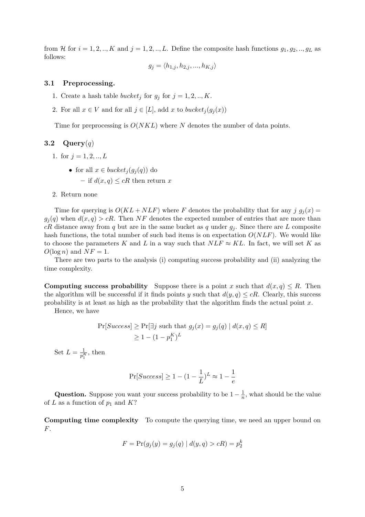from H for  $i = 1, 2, \ldots, K$  and  $j = 1, 2, \ldots, L$ . Define the composite hash functions  $g_1, g_2, \ldots, g_L$  as follows:

$$
g_j = \langle h_{1,j}, h_{2,j}, ..., h_{K,j} \rangle
$$

#### **3.1 Preprocessing.**

- 1. Create a hash table *bucket<sub>j</sub>* for  $g_j$  for  $j = 1, 2, ..., K$ .
- 2. For all  $x \in V$  and for all  $j \in [L]$ , add  $x$  to *bucket*<sub>*i*</sub> $(g_i(x))$

Time for preprocessing is *O*(*NKL*) where *N* denotes the number of data points.

## **3.2 Query**(*q*)

- 1. for  $j = 1, 2, ..., L$ 
	- for all  $x \in bucket_i(q_i(q))$  do

 $-$  if  $d(x, q) \leq cR$  then return *x* 

2. Return none

Time for querying is  $O(KL + NLF)$  where *F* denotes the probability that for any *j*  $g_j(x)$  =  $g_i(q)$  when  $d(x, q) > cR$ . Then NF denotes the expected number of entries that are more than *cR* distance away from *q* but are in the same bucket as *q* under  $q_i$ . Since there are *L* composite hash functions, the total number of such bad items is on expectation *O*(*NLF*). We would like to choose the parameters *K* and *L* in a way such that  $NLF \approx KL$ . In fact, we will set *K* as  $O(\log n)$  and  $NF = 1$ .

There are two parts to the analysis (i) computing success probability and (ii) analyzing the time complexity.

**Computing success probability** Suppose there is a point *x* such that  $d(x, q) \leq R$ . Then the algorithm will be successful if it finds points *y* such that  $d(y, q) \leq cR$ . Clearly, this success probability is at least as high as the probability that the algorithm finds the actual point *x*.

Hence, we have

$$
\Pr[Success] \ge \Pr[\exists j \text{ such that } g_j(x) = g_j(q) \mid d(x, q) \le R]
$$
  

$$
\ge 1 - (1 - p_1^K)^L
$$

Set  $L = \frac{1}{p_1^K}$ , then

$$
\Pr[Success] \geq 1-(1-\frac{1}{L})^L \approx 1-\frac{1}{e}
$$

**Question.** Suppose you want your success probability to be  $1 - \frac{1}{n}$  $\frac{1}{n}$ , what should be the value of *L* as a function of  $p_1$  and  $K$ ?

**Computing time complexity** To compute the querying time, we need an upper bound on *F*.

$$
F = \Pr(g_j(y) = g_j(q) | d(y, q) > cR) = p_2^k
$$